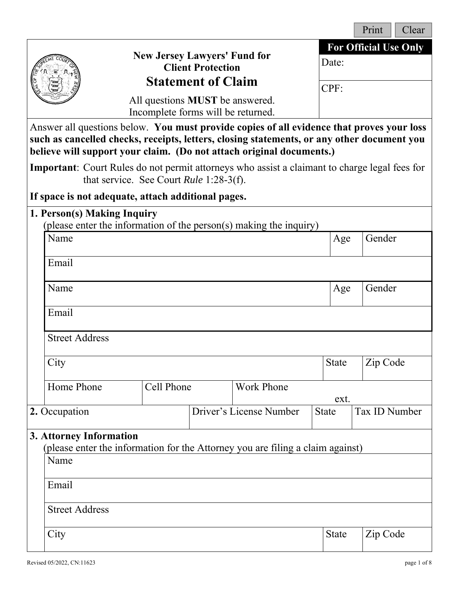|                                                                                                                                                                                                                                                                 |                                                                                                       |                                                                              |                           |                         |              |       | Print                        | Clear |
|-----------------------------------------------------------------------------------------------------------------------------------------------------------------------------------------------------------------------------------------------------------------|-------------------------------------------------------------------------------------------------------|------------------------------------------------------------------------------|---------------------------|-------------------------|--------------|-------|------------------------------|-------|
|                                                                                                                                                                                                                                                                 |                                                                                                       | <b>New Jersey Lawyers' Fund for</b>                                          | <b>Client Protection</b>  |                         |              | Date: | <b>For Official Use Only</b> |       |
|                                                                                                                                                                                                                                                                 |                                                                                                       |                                                                              | <b>Statement of Claim</b> |                         |              | CPF:  |                              |       |
|                                                                                                                                                                                                                                                                 |                                                                                                       | All questions <b>MUST</b> be answered.<br>Incomplete forms will be returned. |                           |                         |              |       |                              |       |
| Answer all questions below. You must provide copies of all evidence that proves your loss<br>such as cancelled checks, receipts, letters, closing statements, or any other document you<br>believe will support your claim. (Do not attach original documents.) |                                                                                                       |                                                                              |                           |                         |              |       |                              |       |
|                                                                                                                                                                                                                                                                 | <b>Important</b> : Court Rules do not permit attorneys who assist a claimant to charge legal fees for | that service. See Court Rule 1:28-3(f).                                      |                           |                         |              |       |                              |       |
|                                                                                                                                                                                                                                                                 | If space is not adequate, attach additional pages.                                                    |                                                                              |                           |                         |              |       |                              |       |
|                                                                                                                                                                                                                                                                 | 1. Person(s) Making Inquiry                                                                           |                                                                              |                           |                         |              |       |                              |       |
|                                                                                                                                                                                                                                                                 | (please enter the information of the person(s) making the inquiry)<br>Name                            |                                                                              |                           |                         |              | Age   | Gender                       |       |
|                                                                                                                                                                                                                                                                 |                                                                                                       |                                                                              |                           |                         |              |       |                              |       |
|                                                                                                                                                                                                                                                                 | Email                                                                                                 |                                                                              |                           |                         |              |       |                              |       |
|                                                                                                                                                                                                                                                                 | Name                                                                                                  |                                                                              |                           |                         |              | Age   | Gender                       |       |
|                                                                                                                                                                                                                                                                 | Email                                                                                                 |                                                                              |                           |                         |              |       |                              |       |
|                                                                                                                                                                                                                                                                 | <b>Street Address</b>                                                                                 |                                                                              |                           |                         |              |       |                              |       |
|                                                                                                                                                                                                                                                                 | City                                                                                                  |                                                                              |                           |                         |              | State | Zip Code                     |       |
|                                                                                                                                                                                                                                                                 | Home Phone                                                                                            | Cell Phone                                                                   |                           | <b>Work Phone</b>       |              | ext.  |                              |       |
|                                                                                                                                                                                                                                                                 | 2. Occupation                                                                                         |                                                                              |                           | Driver's License Number | <b>State</b> |       | Tax ID Number                |       |
| 3. Attorney Information                                                                                                                                                                                                                                         |                                                                                                       |                                                                              |                           |                         |              |       |                              |       |
| (please enter the information for the Attorney you are filing a claim against)<br>Name                                                                                                                                                                          |                                                                                                       |                                                                              |                           |                         |              |       |                              |       |
|                                                                                                                                                                                                                                                                 |                                                                                                       |                                                                              |                           |                         |              |       |                              |       |
|                                                                                                                                                                                                                                                                 | Email                                                                                                 |                                                                              |                           |                         |              |       |                              |       |
|                                                                                                                                                                                                                                                                 | <b>Street Address</b>                                                                                 |                                                                              |                           |                         |              |       |                              |       |
|                                                                                                                                                                                                                                                                 | City                                                                                                  |                                                                              |                           |                         |              | State | Zip Code                     |       |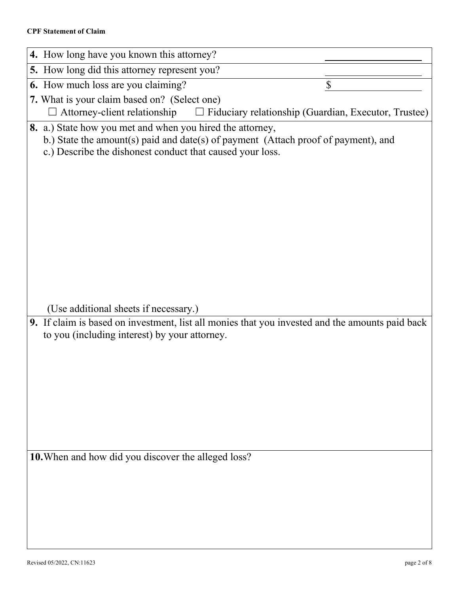#### **CPF Statement of Claim**

| 4. How long have you known this attorney?                                                                                                                                                                                                        |  |  |  |
|--------------------------------------------------------------------------------------------------------------------------------------------------------------------------------------------------------------------------------------------------|--|--|--|
| 5. How long did this attorney represent you?                                                                                                                                                                                                     |  |  |  |
| 6. How much loss are you claiming?<br>\$                                                                                                                                                                                                         |  |  |  |
| 7. What is your claim based on? (Select one)                                                                                                                                                                                                     |  |  |  |
| $\Box$ Attorney-client relationship<br>$\Box$ Fiduciary relationship (Guardian, Executor, Trustee)                                                                                                                                               |  |  |  |
| 8. a.) State how you met and when you hired the attorney,<br>b.) State the amount(s) paid and date(s) of payment (Attach proof of payment), and<br>c.) Describe the dishonest conduct that caused your loss.                                     |  |  |  |
| (Use additional sheets if necessary.)<br>9. If claim is based on investment, list all monies that you invested and the amounts paid back<br>to you (including interest) by your attorney.<br>10. When and how did you discover the alleged loss? |  |  |  |
|                                                                                                                                                                                                                                                  |  |  |  |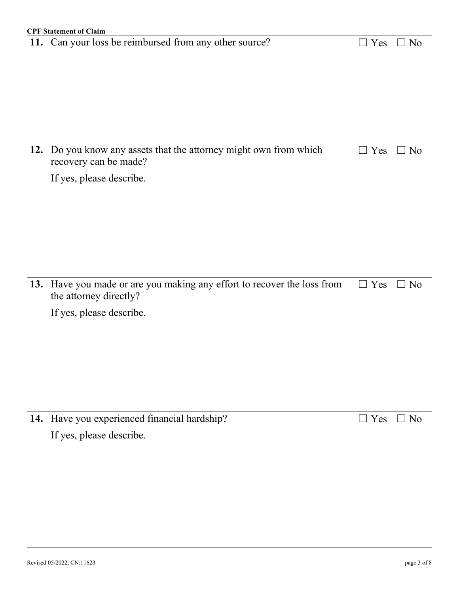|     | <b>CPF Statement of Claim</b>                                       |            |           |
|-----|---------------------------------------------------------------------|------------|-----------|
|     | 11. Can your loss be reimbursed from any other source?              | $\Box$ Yes | $\Box$ No |
|     |                                                                     |            |           |
|     |                                                                     |            |           |
|     |                                                                     |            |           |
|     |                                                                     |            |           |
|     |                                                                     |            |           |
|     |                                                                     |            |           |
|     |                                                                     |            |           |
|     |                                                                     |            |           |
|     | 12. Do you know any assets that the attorney might own from which   | $\Box$ Yes | $\Box$ No |
|     | recovery can be made?                                               |            |           |
|     |                                                                     |            |           |
|     | If yes, please describe.                                            |            |           |
|     |                                                                     |            |           |
|     |                                                                     |            |           |
|     |                                                                     |            |           |
|     |                                                                     |            |           |
|     |                                                                     |            |           |
|     |                                                                     |            |           |
|     |                                                                     |            |           |
|     |                                                                     |            |           |
| 13. | Have you made or are you making any effort to recover the loss from | $\Box$ Yes | $\Box$ No |
|     | the attorney directly?                                              |            |           |
|     | If yes, please describe.                                            |            |           |
|     |                                                                     |            |           |
|     |                                                                     |            |           |
|     |                                                                     |            |           |
|     |                                                                     |            |           |
|     |                                                                     |            |           |
|     |                                                                     |            |           |
|     |                                                                     |            |           |
|     |                                                                     |            |           |
| 14. | Have you experienced financial hardship?                            | $\Box$ Yes | $\Box$ No |
|     | If yes, please describe.                                            |            |           |
|     |                                                                     |            |           |
|     |                                                                     |            |           |
|     |                                                                     |            |           |
|     |                                                                     |            |           |
|     |                                                                     |            |           |
|     |                                                                     |            |           |
|     |                                                                     |            |           |
|     |                                                                     |            |           |
|     |                                                                     |            |           |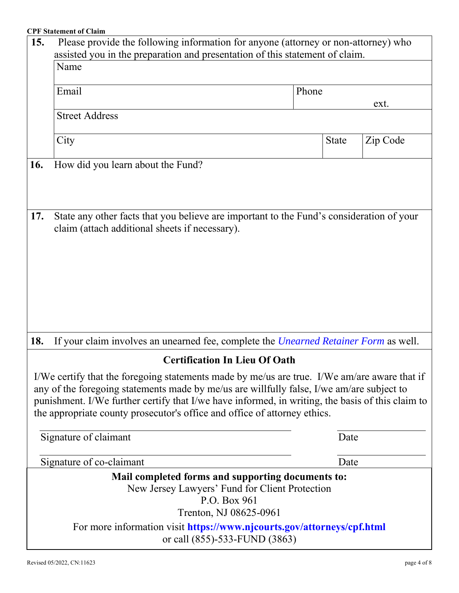#### **CPF Statement of Claim**

| 15.                                                                                                                                                                                       | Please provide the following information for anyone (attorney or non-attorney) who<br>assisted you in the preparation and presentation of this statement of claim. |              |          |  |
|-------------------------------------------------------------------------------------------------------------------------------------------------------------------------------------------|--------------------------------------------------------------------------------------------------------------------------------------------------------------------|--------------|----------|--|
|                                                                                                                                                                                           | Name                                                                                                                                                               |              |          |  |
|                                                                                                                                                                                           | Email                                                                                                                                                              | Phone        |          |  |
|                                                                                                                                                                                           | <b>Street Address</b>                                                                                                                                              | ext.         |          |  |
|                                                                                                                                                                                           |                                                                                                                                                                    |              |          |  |
|                                                                                                                                                                                           | City                                                                                                                                                               | <b>State</b> | Zip Code |  |
| 16.                                                                                                                                                                                       | How did you learn about the Fund?                                                                                                                                  |              |          |  |
|                                                                                                                                                                                           |                                                                                                                                                                    |              |          |  |
|                                                                                                                                                                                           |                                                                                                                                                                    |              |          |  |
| 17.                                                                                                                                                                                       | State any other facts that you believe are important to the Fund's consideration of your<br>claim (attach additional sheets if necessary).                         |              |          |  |
|                                                                                                                                                                                           |                                                                                                                                                                    |              |          |  |
|                                                                                                                                                                                           |                                                                                                                                                                    |              |          |  |
|                                                                                                                                                                                           |                                                                                                                                                                    |              |          |  |
|                                                                                                                                                                                           |                                                                                                                                                                    |              |          |  |
|                                                                                                                                                                                           |                                                                                                                                                                    |              |          |  |
|                                                                                                                                                                                           |                                                                                                                                                                    |              |          |  |
| 18.                                                                                                                                                                                       | If your claim involves an unearned fee, complete the <i>Unearned Retainer Form</i> as well.                                                                        |              |          |  |
|                                                                                                                                                                                           | <b>Certification In Lieu Of Oath</b>                                                                                                                               |              |          |  |
| I/We certify that the foregoing statements made by me/us are true. I/We am/are aware that if<br>any of the foregoing statements made by me/us are willfully false, I/we am/are subject to |                                                                                                                                                                    |              |          |  |
| punishment. I/We further certify that I/we have informed, in writing, the basis of this claim to                                                                                          |                                                                                                                                                                    |              |          |  |
| the appropriate county prosecutor's office and office of attorney ethics.                                                                                                                 |                                                                                                                                                                    |              |          |  |
|                                                                                                                                                                                           | Signature of claimant                                                                                                                                              | Date         |          |  |
|                                                                                                                                                                                           | Signature of co-claimant                                                                                                                                           |              |          |  |
| Date<br>Mail completed forms and supporting documents to:                                                                                                                                 |                                                                                                                                                                    |              |          |  |
| New Jersey Lawyers' Fund for Client Protection                                                                                                                                            |                                                                                                                                                                    |              |          |  |
|                                                                                                                                                                                           | P.O. Box 961<br>Trenton, NJ 08625-0961                                                                                                                             |              |          |  |
|                                                                                                                                                                                           | For more information visit https://www.njcourts.gov/attorneys/cpf.html                                                                                             |              |          |  |
|                                                                                                                                                                                           | or call (855)-533-FUND (3863)                                                                                                                                      |              |          |  |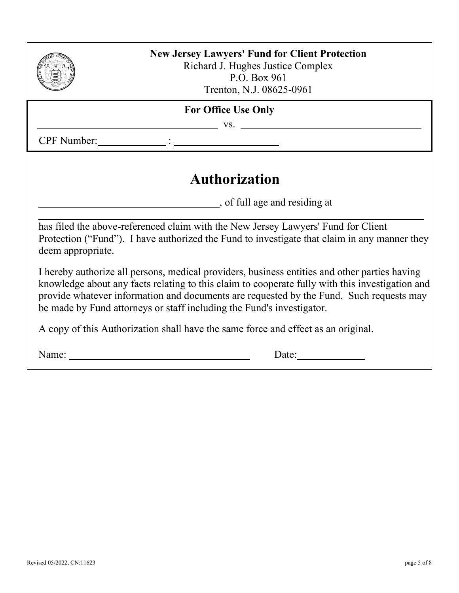

### **New Jersey Lawyers' Fund for Client Protection** Richard J. Hughes Justice Complex P.O. Box 961

Trenton, N.J. 08625-0961

## **For Office Use Only**

vs.

CPF Number:  $\qquad \qquad :$ 

# **Authorization**

, of full age and residing at

has filed the above-referenced claim with the New Jersey Lawyers' Fund for Client Protection ("Fund"). I have authorized the Fund to investigate that claim in any manner they deem appropriate.

I hereby authorize all persons, medical providers, business entities and other parties having knowledge about any facts relating to this claim to cooperate fully with this investigation and provide whatever information and documents are requested by the Fund. Such requests may be made by Fund attorneys or staff including the Fund's investigator.

A copy of this Authorization shall have the same force and effect as an original.

Name: Date: Date: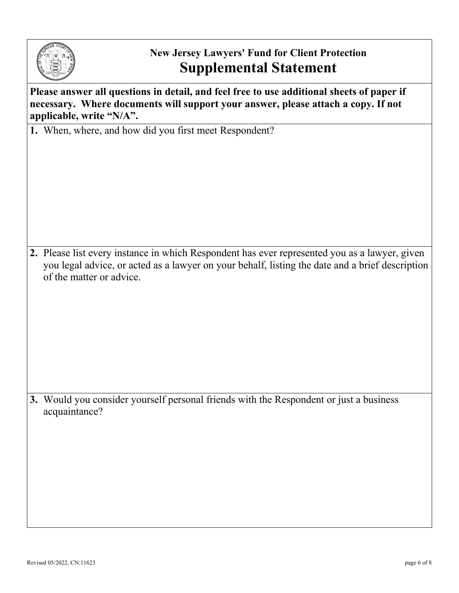

## **New Jersey Lawyers' Fund for Client Protection Supplemental Statement**

**Please answer all questions in detail, and feel free to use additional sheets of paper if necessary. Where documents will support your answer, please attach a copy. If not applicable, write "N/A".**

**1.** When, where, and how did you first meet Respondent?

**2.** Please list every instance in which Respondent has ever represented you as a lawyer, given you legal advice, or acted as a lawyer on your behalf, listing the date and a brief description of the matter or advice.

**3.** Would you consider yourself personal friends with the Respondent or just a business acquaintance?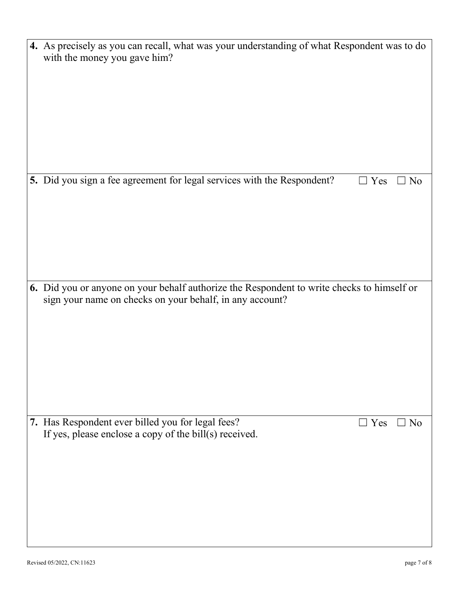| 4. As precisely as you can recall, what was your understanding of what Respondent was to do<br>with the money you gave him?                            |
|--------------------------------------------------------------------------------------------------------------------------------------------------------|
|                                                                                                                                                        |
|                                                                                                                                                        |
|                                                                                                                                                        |
|                                                                                                                                                        |
|                                                                                                                                                        |
|                                                                                                                                                        |
| 5. Did you sign a fee agreement for legal services with the Respondent?<br>$\exists$ Yes<br>N <sub>o</sub>                                             |
|                                                                                                                                                        |
|                                                                                                                                                        |
|                                                                                                                                                        |
|                                                                                                                                                        |
|                                                                                                                                                        |
|                                                                                                                                                        |
| 6. Did you or anyone on your behalf authorize the Respondent to write checks to himself or<br>sign your name on checks on your behalf, in any account? |
|                                                                                                                                                        |
|                                                                                                                                                        |
|                                                                                                                                                        |
|                                                                                                                                                        |
|                                                                                                                                                        |
|                                                                                                                                                        |
| 7. Has Respondent ever billed you for legal fees?<br>$\Box$ Yes<br>N <sub>o</sub>                                                                      |
| If yes, please enclose a copy of the bill(s) received.                                                                                                 |
|                                                                                                                                                        |
|                                                                                                                                                        |
|                                                                                                                                                        |
|                                                                                                                                                        |
|                                                                                                                                                        |